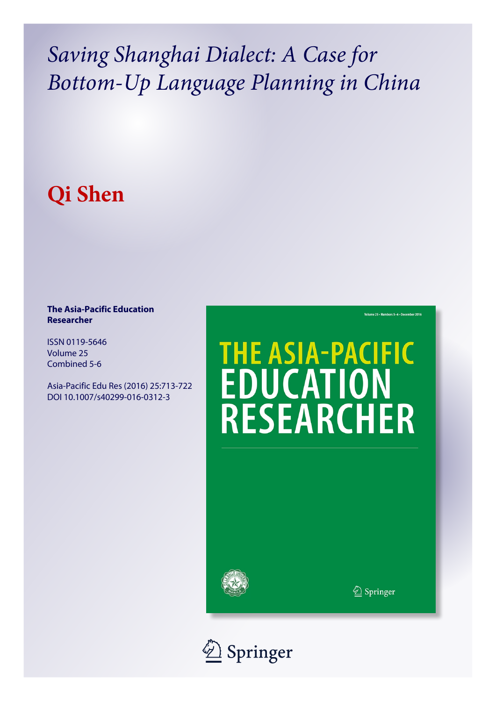*Saving Shanghai Dialect: A Case for Bottom-Up Language Planning in China*

# **Qi Shen**

#### **The Asia-Pacific Education Researcher**

ISSN 0119-5646 Volume 25 Combined 5-6

Asia-Pacific Edu Res (2016) 25:713-722 DOI 10.1007/s40299-016-0312-3

# **THE ASIA-PACIFIC EDUCATION RESEARCHER**



2 Springer

Volume 25 - Numbers 5-6 - December 2016

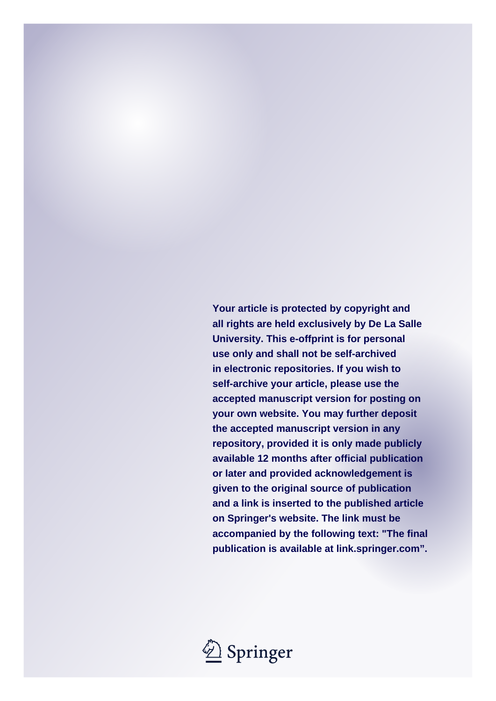**Your article is protected by copyright and all rights are held exclusively by De La Salle University. This e-offprint is for personal use only and shall not be self-archived in electronic repositories. If you wish to self-archive your article, please use the accepted manuscript version for posting on your own website. You may further deposit the accepted manuscript version in any repository, provided it is only made publicly available 12 months after official publication or later and provided acknowledgement is given to the original source of publication and a link is inserted to the published article on Springer's website. The link must be accompanied by the following text: "The final publication is available at link.springer.com".**

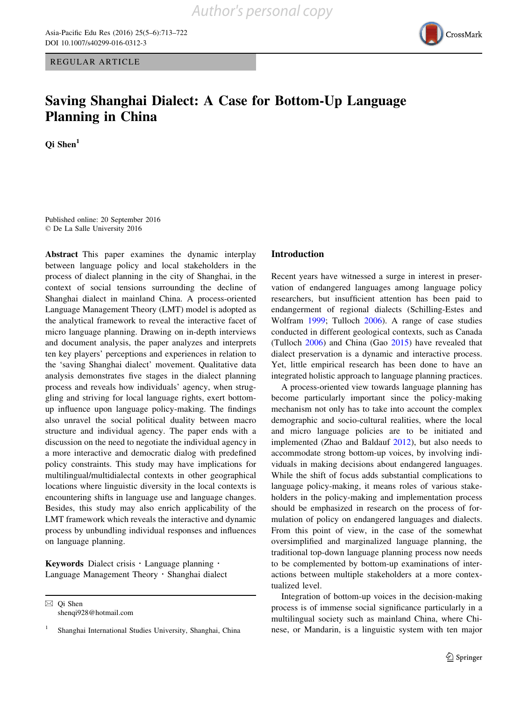REGULAR ARTICLE



### Saving Shanghai Dialect: A Case for Bottom-Up Language Planning in China

Qi Shen<sup>1</sup>

Published online: 20 September 2016 © De La Salle University 2016

Abstract This paper examines the dynamic interplay between language policy and local stakeholders in the process of dialect planning in the city of Shanghai, in the context of social tensions surrounding the decline of Shanghai dialect in mainland China. A process-oriented Language Management Theory (LMT) model is adopted as the analytical framework to reveal the interactive facet of micro language planning. Drawing on in-depth interviews and document analysis, the paper analyzes and interprets ten key players' perceptions and experiences in relation to the 'saving Shanghai dialect' movement. Qualitative data analysis demonstrates five stages in the dialect planning process and reveals how individuals' agency, when struggling and striving for local language rights, exert bottomup influence upon language policy-making. The findings also unravel the social political duality between macro structure and individual agency. The paper ends with a discussion on the need to negotiate the individual agency in a more interactive and democratic dialog with predefined policy constraints. This study may have implications for multilingual/multidialectal contexts in other geographical locations where linguistic diversity in the local contexts is encountering shifts in language use and language changes. Besides, this study may also enrich applicability of the LMT framework which reveals the interactive and dynamic process by unbundling individual responses and influences on language planning.

Keywords Dialect crisis · Language planning · Language Management Theory · Shanghai dialect

& Qi Shen shenqi928@hotmail.com

#### Introduction

Recent years have witnessed a surge in interest in preservation of endangered languages among language policy researchers, but insufficient attention has been paid to endangerment of regional dialects (Schilling-Estes and Wolfram [1999](#page-11-0); Tulloch [2006](#page-11-0)). A range of case studies conducted in different geological contexts, such as Canada (Tulloch [2006](#page-11-0)) and China (Gao [2015](#page-11-0)) have revealed that dialect preservation is a dynamic and interactive process. Yet, little empirical research has been done to have an integrated holistic approach to language planning practices.

A process-oriented view towards language planning has become particularly important since the policy-making mechanism not only has to take into account the complex demographic and socio-cultural realities, where the local and micro language policies are to be initiated and implemented (Zhao and Baldauf [2012\)](#page-11-0), but also needs to accommodate strong bottom-up voices, by involving individuals in making decisions about endangered languages. While the shift of focus adds substantial complications to language policy-making, it means roles of various stakeholders in the policy-making and implementation process should be emphasized in research on the process of formulation of policy on endangered languages and dialects. From this point of view, in the case of the somewhat oversimplified and marginalized language planning, the traditional top-down language planning process now needs to be complemented by bottom-up examinations of interactions between multiple stakeholders at a more contextualized level.

Integration of bottom-up voices in the decision-making process is of immense social significance particularly in a multilingual society such as mainland China, where Chinese, or Mandarin, is a linguistic system with ten major

<sup>1</sup> Shanghai International Studies University, Shanghai, China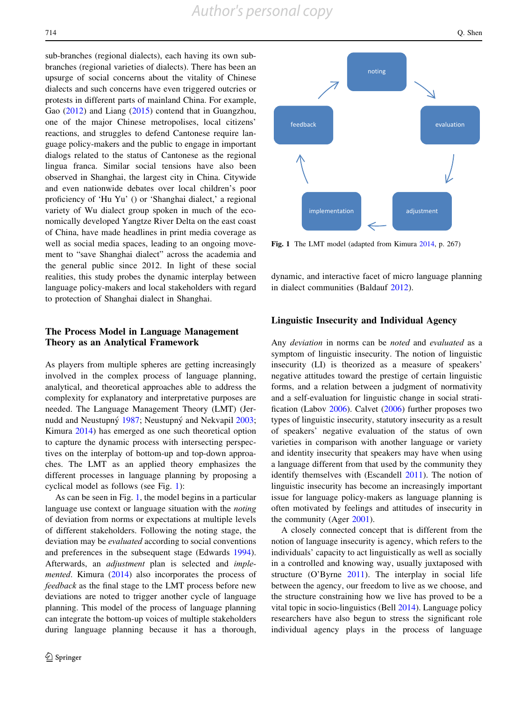## *Author's personal copy*

sub-branches (regional dialects), each having its own subbranches (regional varieties of dialects). There has been an upsurge of social concerns about the vitality of Chinese dialects and such concerns have even triggered outcries or protests in different parts of mainland China. For example, Gao [\(2012](#page-11-0)) and Liang [\(2015](#page-11-0)) contend that in Guangzhou, one of the major Chinese metropolises, local citizens' reactions, and struggles to defend Cantonese require language policy-makers and the public to engage in important dialogs related to the status of Cantonese as the regional lingua franca. Similar social tensions have also been observed in Shanghai, the largest city in China. Citywide and even nationwide debates over local children's poor proficiency of 'Hu Yu' () or 'Shanghai dialect,' a regional variety of Wu dialect group spoken in much of the economically developed Yangtze River Delta on the east coast of China, have made headlines in print media coverage as well as social media spaces, leading to an ongoing movement to "save Shanghai dialect" across the academia and the general public since 2012. In light of these social realities, this study probes the dynamic interplay between language policy-makers and local stakeholders with regard to protection of Shanghai dialect in Shanghai.

#### The Process Model in Language Management Theory as an Analytical Framework

As players from multiple spheres are getting increasingly involved in the complex process of language planning, analytical, and theoretical approaches able to address the complexity for explanatory and interpretative purposes are needed. The Language Management Theory (LMT) (Jer-nudd and Neustupný [1987](#page-11-0); Neustupný and Nekvapil [2003](#page-11-0); Kimura [2014\)](#page-11-0) has emerged as one such theoretical option to capture the dynamic process with intersecting perspectives on the interplay of bottom-up and top-down approaches. The LMT as an applied theory emphasizes the different processes in language planning by proposing a cyclical model as follows (see Fig. 1):

As can be seen in Fig. 1, the model begins in a particular language use context or language situation with the *noting* of deviation from norms or expectations at multiple levels of different stakeholders. Following the noting stage, the deviation may be *evaluated* according to social conventions and preferences in the subsequent stage (Edwards [1994](#page-10-0)). Afterwards, an adjustment plan is selected and implemented. Kimura ([2014\)](#page-11-0) also incorporates the process of feedback as the final stage to the LMT process before new deviations are noted to trigger another cycle of language planning. This model of the process of language planning can integrate the bottom-up voices of multiple stakeholders during language planning because it has a thorough,



Fig. 1 The LMT model (adapted from Kimura [2014](#page-11-0), p. 267)

dynamic, and interactive facet of micro language planning in dialect communities (Baldauf [2012\)](#page-10-0).

#### Linguistic Insecurity and Individual Agency

Any deviation in norms can be noted and evaluated as a symptom of linguistic insecurity. The notion of linguistic insecurity (LI) is theorized as a measure of speakers' negative attitudes toward the prestige of certain linguistic forms, and a relation between a judgment of normativity and a self-evaluation for linguistic change in social stratification (Labov [2006\)](#page-11-0). Calvet [\(2006](#page-10-0)) further proposes two types of linguistic insecurity, statutory insecurity as a result of speakers' negative evaluation of the status of own varieties in comparison with another language or variety and identity insecurity that speakers may have when using a language different from that used by the community they identify themselves with (Escandell [2011](#page-10-0)). The notion of linguistic insecurity has become an increasingly important issue for language policy-makers as language planning is often motivated by feelings and attitudes of insecurity in the community (Ager [2001](#page-10-0)).

A closely connected concept that is different from the notion of language insecurity is agency, which refers to the individuals' capacity to act linguistically as well as socially in a controlled and knowing way, usually juxtaposed with structure (O'Byrne [2011\)](#page-11-0). The interplay in social life between the agency, our freedom to live as we choose, and the structure constraining how we live has proved to be a vital topic in socio-linguistics (Bell [2014](#page-10-0)). Language policy researchers have also begun to stress the significant role individual agency plays in the process of language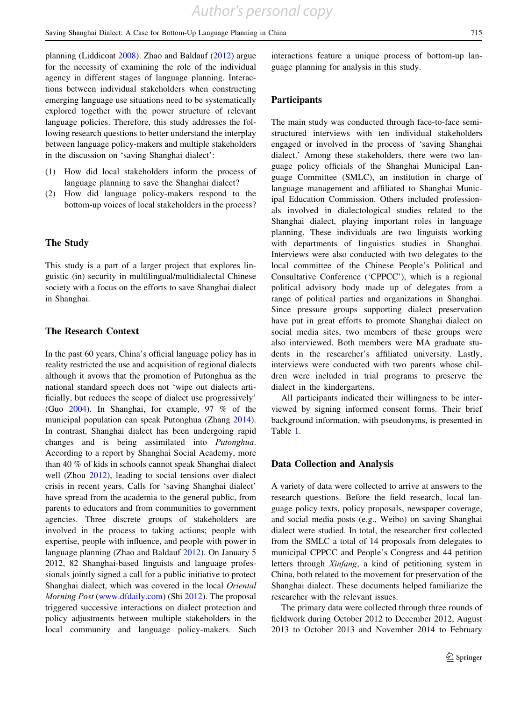planning (Liddicoat [2008\)](#page-11-0). Zhao and Baldauf ([2012\)](#page-10-0) argue for the necessity of examining the role of the individual agency in different stages of language planning. Interactions between individual stakeholders when constructing emerging language use situations need to be systematically explored together with the power structure of relevant language policies. Therefore, this study addresses the following research questions to better understand the interplay between language policy-makers and multiple stakeholders in the discussion on 'saving Shanghai dialect':

- (1) How did local stakeholders inform the process of language planning to save the Shanghai dialect?
- (2) How did language policy-makers respond to the bottom-up voices of local stakeholders in the process?

#### The Study

This study is a part of a larger project that explores linguistic (in) security in multilingual/multidialectal Chinese society with a focus on the efforts to save Shanghai dialect in Shanghai.

#### The Research Context

In the past 60 years, China's official language policy has in reality restricted the use and acquisition of regional dialects although it avows that the promotion of Putonghua as the national standard speech does not 'wipe out dialects artificially, but reduces the scope of dialect use progressively' (Guo [2004\)](#page-11-0). In Shanghai, for example, 97 % of the municipal population can speak Putonghua (Zhang [2014](#page-11-0)). In contrast, Shanghai dialect has been undergoing rapid changes and is being assimilated into Putonghua. According to a report by Shanghai Social Academy, more than 40 % of kids in schools cannot speak Shanghai dialect well (Zhou [2012\)](#page-11-0), leading to social tensions over dialect crisis in recent years. Calls for 'saving Shanghai dialect' have spread from the academia to the general public, from parents to educators and from communities to government agencies. Three discrete groups of stakeholders are involved in the process to taking actions; people with expertise, people with influence, and people with power in language planning (Zhao and Baldauf [2012\)](#page-11-0). On January 5 2012, 82 Shanghai-based linguists and language professionals jointly signed a call for a public initiative to protect Shanghai dialect, which was covered in the local Oriental Morning Post ([www.dfdaily.com\)](http://www.dfdaily.com) (Shi [2012](#page-11-0)). The proposal triggered successive interactions on dialect protection and policy adjustments between multiple stakeholders in the local community and language policy-makers. Such interactions feature a unique process of bottom-up language planning for analysis in this study.

#### **Participants**

The main study was conducted through face-to-face semistructured interviews with ten individual stakeholders engaged or involved in the process of 'saving Shanghai dialect.' Among these stakeholders, there were two language policy officials of the Shanghai Municipal Language Committee (SMLC), an institution in charge of language management and affiliated to Shanghai Municipal Education Commission. Others included professionals involved in dialectological studies related to the Shanghai dialect, playing important roles in language planning. These individuals are two linguists working with departments of linguistics studies in Shanghai. Interviews were also conducted with two delegates to the local committee of the Chinese People's Political and Consultative Conference ('CPPCC'), which is a regional political advisory body made up of delegates from a range of political parties and organizations in Shanghai. Since pressure groups supporting dialect preservation have put in great efforts to promote Shanghai dialect on social media sites, two members of these groups were also interviewed. Both members were MA graduate students in the researcher's affiliated university. Lastly, interviews were conducted with two parents whose children were included in trial programs to preserve the dialect in the kindergartens.

All participants indicated their willingness to be interviewed by signing informed consent forms. Their brief background information, with pseudonyms, is presented in Table [1](#page-9-0).

#### Data Collection and Analysis

A variety of data were collected to arrive at answers to the research questions. Before the field research, local language policy texts, policy proposals, newspaper coverage, and social media posts (e.g., Weibo) on saving Shanghai dialect were studied. In total, the researcher first collected from the SMLC a total of 14 proposals from delegates to municipal CPPCC and People's Congress and 44 petition letters through Xinfang, a kind of petitioning system in China, both related to the movement for preservation of the Shanghai dialect. These documents helped familiarize the researcher with the relevant issues.

The primary data were collected through three rounds of fieldwork during October 2012 to December 2012, August 2013 to October 2013 and November 2014 to February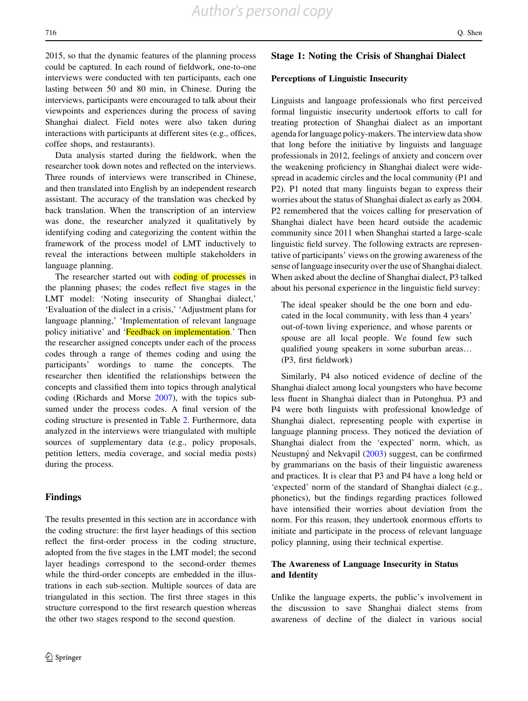2015, so that the dynamic features of the planning process could be captured. In each round of fieldwork, one-to-one interviews were conducted with ten participants, each one lasting between 50 and 80 min, in Chinese. During the interviews, participants were encouraged to talk about their viewpoints and experiences during the process of saving Shanghai dialect. Field notes were also taken during interactions with participants at different sites (e.g., offices, coffee shops, and restaurants).

Data analysis started during the fieldwork, when the researcher took down notes and reflected on the interviews. Three rounds of interviews were transcribed in Chinese, and then translated into English by an independent research assistant. The accuracy of the translation was checked by back translation. When the transcription of an interview was done, the researcher analyzed it qualitatively by identifying coding and categorizing the content within the framework of the process model of LMT inductively to reveal the interactions between multiple stakeholders in language planning.

The researcher started out with coding of processes in the planning phases; the codes reflect five stages in the LMT model: 'Noting insecurity of Shanghai dialect,' 'Evaluation of the dialect in a crisis,' 'Adjustment plans for language planning,' 'Implementation of relevant language policy initiative' and 'Feedback on implementation.' Then the researcher assigned concepts under each of the process codes through a range of themes coding and using the participants' wordings to name the concepts. The researcher then identified the relationships between the concepts and classified them into topics through analytical coding (Richards and Morse [2007\)](#page-11-0), with the topics subsumed under the process codes. A final version of the coding structure is presented in Table [2.](#page-10-0) Furthermore, data analyzed in the interviews were triangulated with multiple sources of supplementary data (e.g., policy proposals, petition letters, media coverage, and social media posts) during the process.

#### Findings

The results presented in this section are in accordance with the coding structure: the first layer headings of this section reflect the first-order process in the coding structure, adopted from the five stages in the LMT model; the second layer headings correspond to the second-order themes while the third-order concepts are embedded in the illustrations in each sub-section. Multiple sources of data are triangulated in this section. The first three stages in this structure correspond to the first research question whereas the other two stages respond to the second question.

#### Stage 1: Noting the Crisis of Shanghai Dialect

#### Perceptions of Linguistic Insecurity

Linguists and language professionals who first perceived formal linguistic insecurity undertook efforts to call for treating protection of Shanghai dialect as an important agenda for language policy-makers. The interview data show that long before the initiative by linguists and language professionals in 2012, feelings of anxiety and concern over the weakening proficiency in Shanghai dialect were widespread in academic circles and the local community (P1 and P2). P1 noted that many linguists began to express their worries about the status of Shanghai dialect as early as 2004. P2 remembered that the voices calling for preservation of Shanghai dialect have been heard outside the academic community since 2011 when Shanghai started a large-scale linguistic field survey. The following extracts are representative of participants' views on the growing awareness of the sense of language insecurity over the use of Shanghai dialect. When asked about the decline of Shanghai dialect, P3 talked about his personal experience in the linguistic field survey:

The ideal speaker should be the one born and educated in the local community, with less than 4 years' out-of-town living experience, and whose parents or spouse are all local people. We found few such qualified young speakers in some suburban areas… (P3, first fieldwork)

Similarly, P4 also noticed evidence of decline of the Shanghai dialect among local youngsters who have become less fluent in Shanghai dialect than in Putonghua. P3 and P4 were both linguists with professional knowledge of Shanghai dialect, representing people with expertise in language planning process. They noticed the deviation of Shanghai dialect from the 'expected' norm, which, as Neustupný and Nekvapil ([2003\)](#page-11-0) suggest, can be confirmed by grammarians on the basis of their linguistic awareness and practices. It is clear that P3 and P4 have a long held or 'expected' norm of the standard of Shanghai dialect (e.g., phonetics), but the findings regarding practices followed have intensified their worries about deviation from the norm. For this reason, they undertook enormous efforts to initiate and participate in the process of relevant language policy planning, using their technical expertise.

#### The Awareness of Language Insecurity in Status and Identity

Unlike the language experts, the public's involvement in the discussion to save Shanghai dialect stems from awareness of decline of the dialect in various social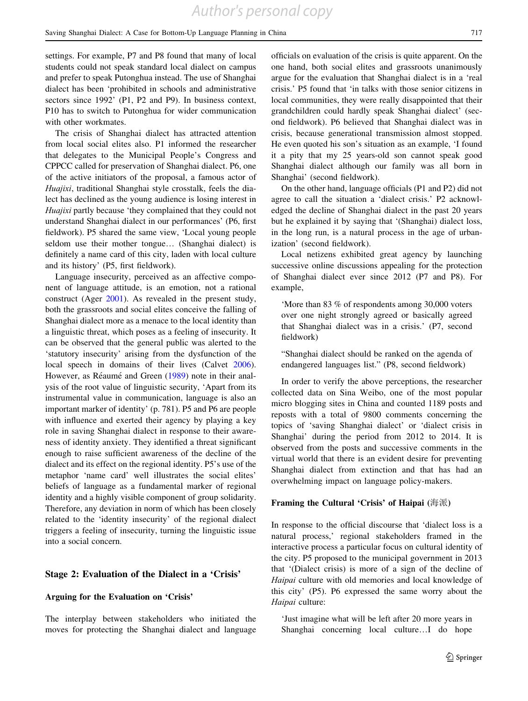#### Saving Shanghai Dialect: A Case for Bottom-Up Language Planning in China 717

settings. For example, P7 and P8 found that many of local students could not speak standard local dialect on campus and prefer to speak Putonghua instead. The use of Shanghai dialect has been 'prohibited in schools and administrative sectors since 1992' (P1, P2 and P9). In business context, P10 has to switch to Putonghua for wider communication with other workmates.

The crisis of Shanghai dialect has attracted attention from local social elites also. P1 informed the researcher that delegates to the Municipal People's Congress and CPPCC called for preservation of Shanghai dialect. P6, one of the active initiators of the proposal, a famous actor of Huajixi, traditional Shanghai style crosstalk, feels the dialect has declined as the young audience is losing interest in Huajixi partly because 'they complained that they could not understand Shanghai dialect in our performances' (P6, first fieldwork). P5 shared the same view, 'Local young people seldom use their mother tongue… (Shanghai dialect) is definitely a name card of this city, laden with local culture and its history' (P5, first fieldwork).

Language insecurity, perceived as an affective component of language attitude, is an emotion, not a rational construct (Ager [2001\)](#page-10-0). As revealed in the present study, both the grassroots and social elites conceive the falling of Shanghai dialect more as a menace to the local identity than a linguistic threat, which poses as a feeling of insecurity. It can be observed that the general public was alerted to the 'statutory insecurity' arising from the dysfunction of the local speech in domains of their lives (Calvet [2006](#page-10-0)). However, as Réaumé and Green ([1989](#page-11-0)) note in their analysis of the root value of linguistic security, 'Apart from its instrumental value in communication, language is also an important marker of identity' (p. 781). P5 and P6 are people with influence and exerted their agency by playing a key role in saving Shanghai dialect in response to their awareness of identity anxiety. They identified a threat significant enough to raise sufficient awareness of the decline of the dialect and its effect on the regional identity. P5's use of the metaphor 'name card' well illustrates the social elites' beliefs of language as a fundamental marker of regional identity and a highly visible component of group solidarity. Therefore, any deviation in norm of which has been closely related to the 'identity insecurity' of the regional dialect triggers a feeling of insecurity, turning the linguistic issue into a social concern.

#### Stage 2: Evaluation of the Dialect in a 'Crisis'

#### Arguing for the Evaluation on 'Crisis'

The interplay between stakeholders who initiated the moves for protecting the Shanghai dialect and language officials on evaluation of the crisis is quite apparent. On the one hand, both social elites and grassroots unanimously argue for the evaluation that Shanghai dialect is in a 'real crisis.' P5 found that 'in talks with those senior citizens in local communities, they were really disappointed that their grandchildren could hardly speak Shanghai dialect' (second fieldwork). P6 believed that Shanghai dialect was in crisis, because generational transmission almost stopped. He even quoted his son's situation as an example, 'I found it a pity that my 25 years-old son cannot speak good Shanghai dialect although our family was all born in Shanghai' (second fieldwork).

On the other hand, language officials (P1 and P2) did not agree to call the situation a 'dialect crisis.' P2 acknowledged the decline of Shanghai dialect in the past 20 years but he explained it by saying that '(Shanghai) dialect loss, in the long run, is a natural process in the age of urbanization' (second fieldwork).

Local netizens exhibited great agency by launching successive online discussions appealing for the protection of Shanghai dialect ever since 2012 (P7 and P8). For example,

'More than 83 % of respondents among 30,000 voters over one night strongly agreed or basically agreed that Shanghai dialect was in a crisis.' (P7, second fieldwork)

"Shanghai dialect should be ranked on the agenda of endangered languages list." (P8, second fieldwork)

In order to verify the above perceptions, the researcher collected data on Sina Weibo, one of the most popular micro blogging sites in China and counted 1189 posts and reposts with a total of 9800 comments concerning the topics of 'saving Shanghai dialect' or 'dialect crisis in Shanghai' during the period from 2012 to 2014. It is observed from the posts and successive comments in the virtual world that there is an evident desire for preventing Shanghai dialect from extinction and that has had an overwhelming impact on language policy-makers.

#### Framing the Cultural 'Crisis' of Haipai (海派)

In response to the official discourse that 'dialect loss is a natural process,' regional stakeholders framed in the interactive process a particular focus on cultural identity of the city. P5 proposed to the municipal government in 2013 that '(Dialect crisis) is more of a sign of the decline of Haipai culture with old memories and local knowledge of this city' (P5). P6 expressed the same worry about the Haipai culture:

'Just imagine what will be left after 20 more years in Shanghai concerning local culture…I do hope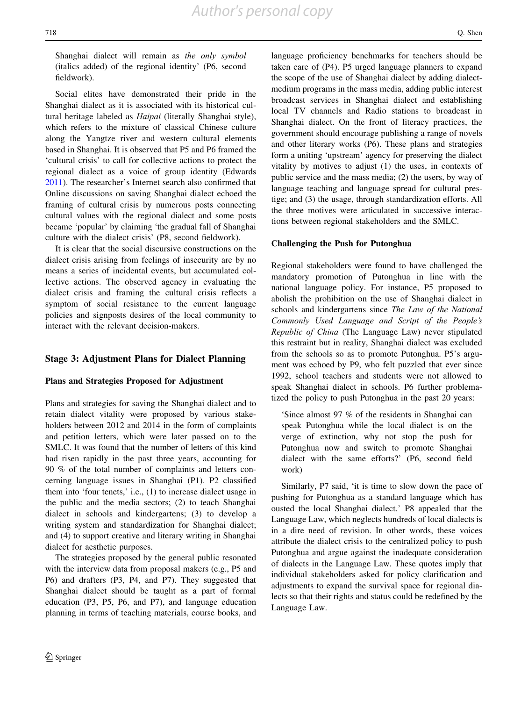Shanghai dialect will remain as the only symbol (italics added) of the regional identity' (P6, second fieldwork).

Social elites have demonstrated their pride in the Shanghai dialect as it is associated with its historical cultural heritage labeled as *Haipai* (literally Shanghai style), which refers to the mixture of classical Chinese culture along the Yangtze river and western cultural elements based in Shanghai. It is observed that P5 and P6 framed the 'cultural crisis' to call for collective actions to protect the regional dialect as a voice of group identity (Edwards [2011\)](#page-10-0). The researcher's Internet search also confirmed that Online discussions on saving Shanghai dialect echoed the framing of cultural crisis by numerous posts connecting cultural values with the regional dialect and some posts became 'popular' by claiming 'the gradual fall of Shanghai culture with the dialect crisis' (P8, second fieldwork).

It is clear that the social discursive constructions on the dialect crisis arising from feelings of insecurity are by no means a series of incidental events, but accumulated collective actions. The observed agency in evaluating the dialect crisis and framing the cultural crisis reflects a symptom of social resistance to the current language policies and signposts desires of the local community to interact with the relevant decision-makers.

#### Stage 3: Adjustment Plans for Dialect Planning

#### Plans and Strategies Proposed for Adjustment

Plans and strategies for saving the Shanghai dialect and to retain dialect vitality were proposed by various stakeholders between 2012 and 2014 in the form of complaints and petition letters, which were later passed on to the SMLC. It was found that the number of letters of this kind had risen rapidly in the past three years, accounting for 90 % of the total number of complaints and letters concerning language issues in Shanghai (P1). P2 classified them into 'four tenets,' i.e., (1) to increase dialect usage in the public and the media sectors; (2) to teach Shanghai dialect in schools and kindergartens; (3) to develop a writing system and standardization for Shanghai dialect; and (4) to support creative and literary writing in Shanghai dialect for aesthetic purposes.

The strategies proposed by the general public resonated with the interview data from proposal makers (e.g., P5 and P6) and drafters (P3, P4, and P7). They suggested that Shanghai dialect should be taught as a part of formal education (P3, P5, P6, and P7), and language education planning in terms of teaching materials, course books, and

language proficiency benchmarks for teachers should be taken care of (P4). P5 urged language planners to expand the scope of the use of Shanghai dialect by adding dialectmedium programs in the mass media, adding public interest broadcast services in Shanghai dialect and establishing local TV channels and Radio stations to broadcast in Shanghai dialect. On the front of literacy practices, the government should encourage publishing a range of novels and other literary works (P6). These plans and strategies form a uniting 'upstream' agency for preserving the dialect vitality by motives to adjust (1) the uses, in contexts of public service and the mass media; (2) the users, by way of language teaching and language spread for cultural prestige; and (3) the usage, through standardization efforts. All the three motives were articulated in successive interactions between regional stakeholders and the SMLC.

#### Challenging the Push for Putonghua

Regional stakeholders were found to have challenged the mandatory promotion of Putonghua in line with the national language policy. For instance, P5 proposed to abolish the prohibition on the use of Shanghai dialect in schools and kindergartens since The Law of the National Commonly Used Language and Script of the People's Republic of China (The Language Law) never stipulated this restraint but in reality, Shanghai dialect was excluded from the schools so as to promote Putonghua. P5's argument was echoed by P9, who felt puzzled that ever since 1992, school teachers and students were not allowed to speak Shanghai dialect in schools. P6 further problematized the policy to push Putonghua in the past 20 years:

'Since almost 97 % of the residents in Shanghai can speak Putonghua while the local dialect is on the verge of extinction, why not stop the push for Putonghua now and switch to promote Shanghai dialect with the same efforts?' (P6, second field work)

Similarly, P7 said, 'it is time to slow down the pace of pushing for Putonghua as a standard language which has ousted the local Shanghai dialect.' P8 appealed that the Language Law, which neglects hundreds of local dialects is in a dire need of revision. In other words, these voices attribute the dialect crisis to the centralized policy to push Putonghua and argue against the inadequate consideration of dialects in the Language Law. These quotes imply that individual stakeholders asked for policy clarification and adjustments to expand the survival space for regional dialects so that their rights and status could be redefined by the Language Law.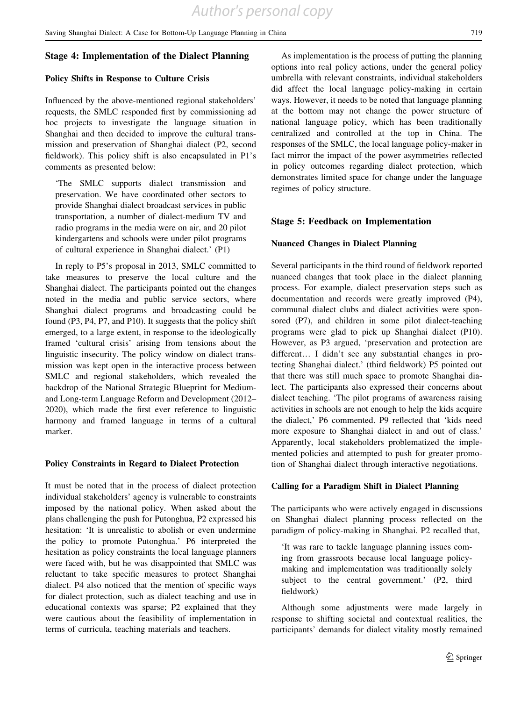#### Stage 4: Implementation of the Dialect Planning

#### Policy Shifts in Response to Culture Crisis

Influenced by the above-mentioned regional stakeholders' requests, the SMLC responded first by commissioning ad hoc projects to investigate the language situation in Shanghai and then decided to improve the cultural transmission and preservation of Shanghai dialect (P2, second fieldwork). This policy shift is also encapsulated in P1's comments as presented below:

'The SMLC supports dialect transmission and preservation. We have coordinated other sectors to provide Shanghai dialect broadcast services in public transportation, a number of dialect-medium TV and radio programs in the media were on air, and 20 pilot kindergartens and schools were under pilot programs of cultural experience in Shanghai dialect.' (P1)

In reply to P5's proposal in 2013, SMLC committed to take measures to preserve the local culture and the Shanghai dialect. The participants pointed out the changes noted in the media and public service sectors, where Shanghai dialect programs and broadcasting could be found (P3, P4, P7, and P10). It suggests that the policy shift emerged, to a large extent, in response to the ideologically framed 'cultural crisis' arising from tensions about the linguistic insecurity. The policy window on dialect transmission was kept open in the interactive process between SMLC and regional stakeholders, which revealed the backdrop of the National Strategic Blueprint for Mediumand Long-term Language Reform and Development (2012– 2020), which made the first ever reference to linguistic harmony and framed language in terms of a cultural marker.

#### Policy Constraints in Regard to Dialect Protection

It must be noted that in the process of dialect protection individual stakeholders' agency is vulnerable to constraints imposed by the national policy. When asked about the plans challenging the push for Putonghua, P2 expressed his hesitation: 'It is unrealistic to abolish or even undermine the policy to promote Putonghua.' P6 interpreted the hesitation as policy constraints the local language planners were faced with, but he was disappointed that SMLC was reluctant to take specific measures to protect Shanghai dialect. P4 also noticed that the mention of specific ways for dialect protection, such as dialect teaching and use in educational contexts was sparse; P2 explained that they were cautious about the feasibility of implementation in terms of curricula, teaching materials and teachers.

As implementation is the process of putting the planning options into real policy actions, under the general policy umbrella with relevant constraints, individual stakeholders did affect the local language policy-making in certain ways. However, it needs to be noted that language planning at the bottom may not change the power structure of national language policy, which has been traditionally centralized and controlled at the top in China. The responses of the SMLC, the local language policy-maker in fact mirror the impact of the power asymmetries reflected in policy outcomes regarding dialect protection, which demonstrates limited space for change under the language regimes of policy structure.

#### Stage 5: Feedback on Implementation

#### Nuanced Changes in Dialect Planning

Several participants in the third round of fieldwork reported nuanced changes that took place in the dialect planning process. For example, dialect preservation steps such as documentation and records were greatly improved (P4), communal dialect clubs and dialect activities were sponsored (P7), and children in some pilot dialect-teaching programs were glad to pick up Shanghai dialect (P10). However, as P3 argued, 'preservation and protection are different… I didn't see any substantial changes in protecting Shanghai dialect.' (third fieldwork) P5 pointed out that there was still much space to promote Shanghai dialect. The participants also expressed their concerns about dialect teaching. 'The pilot programs of awareness raising activities in schools are not enough to help the kids acquire the dialect,' P6 commented. P9 reflected that 'kids need more exposure to Shanghai dialect in and out of class.' Apparently, local stakeholders problematized the implemented policies and attempted to push for greater promotion of Shanghai dialect through interactive negotiations.

#### Calling for a Paradigm Shift in Dialect Planning

The participants who were actively engaged in discussions on Shanghai dialect planning process reflected on the paradigm of policy-making in Shanghai. P2 recalled that,

'It was rare to tackle language planning issues coming from grassroots because local language policymaking and implementation was traditionally solely subject to the central government.' (P2, third fieldwork)

Although some adjustments were made largely in response to shifting societal and contextual realities, the participants' demands for dialect vitality mostly remained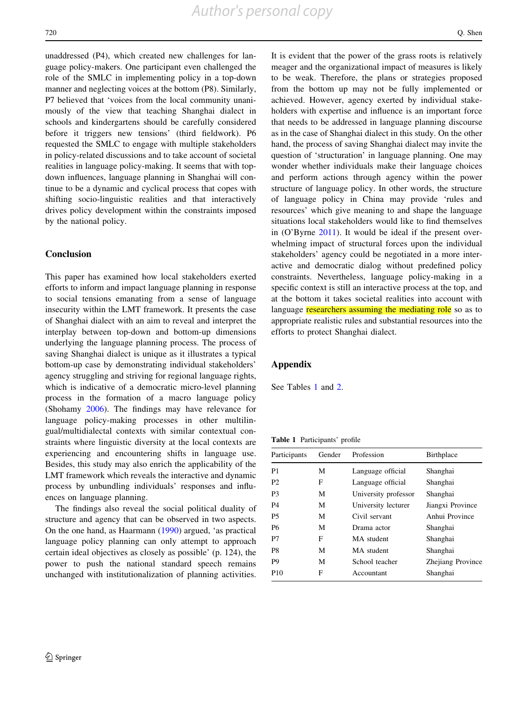<span id="page-9-0"></span>unaddressed (P4), which created new challenges for language policy-makers. One participant even challenged the role of the SMLC in implementing policy in a top-down manner and neglecting voices at the bottom (P8). Similarly, P7 believed that 'voices from the local community unanimously of the view that teaching Shanghai dialect in schools and kindergartens should be carefully considered before it triggers new tensions' (third fieldwork). P6 requested the SMLC to engage with multiple stakeholders in policy-related discussions and to take account of societal realities in language policy-making. It seems that with topdown influences, language planning in Shanghai will continue to be a dynamic and cyclical process that copes with shifting socio-linguistic realities and that interactively drives policy development within the constraints imposed by the national policy.

#### Conclusion

This paper has examined how local stakeholders exerted efforts to inform and impact language planning in response to social tensions emanating from a sense of language insecurity within the LMT framework. It presents the case of Shanghai dialect with an aim to reveal and interpret the interplay between top-down and bottom-up dimensions underlying the language planning process. The process of saving Shanghai dialect is unique as it illustrates a typical bottom-up case by demonstrating individual stakeholders' agency struggling and striving for regional language rights, which is indicative of a democratic micro-level planning process in the formation of a macro language policy (Shohamy [2006](#page-11-0)). The findings may have relevance for language policy-making processes in other multilingual/multidialectal contexts with similar contextual constraints where linguistic diversity at the local contexts are experiencing and encountering shifts in language use. Besides, this study may also enrich the applicability of the LMT framework which reveals the interactive and dynamic process by unbundling individuals' responses and influences on language planning.

The findings also reveal the social political duality of structure and agency that can be observed in two aspects. On the one hand, as Haarmann ([1990\)](#page-11-0) argued, 'as practical language policy planning can only attempt to approach certain ideal objectives as closely as possible' (p. 124), the power to push the national standard speech remains unchanged with institutionalization of planning activities.

It is evident that the power of the grass roots is relatively meager and the organizational impact of measures is likely to be weak. Therefore, the plans or strategies proposed from the bottom up may not be fully implemented or achieved. However, agency exerted by individual stakeholders with expertise and influence is an important force that needs to be addressed in language planning discourse as in the case of Shanghai dialect in this study. On the other hand, the process of saving Shanghai dialect may invite the question of 'structuration' in language planning. One may wonder whether individuals make their language choices and perform actions through agency within the power structure of language policy. In other words, the structure of language policy in China may provide 'rules and resources' which give meaning to and shape the language situations local stakeholders would like to find themselves in (O'Byrne [2011\)](#page-11-0). It would be ideal if the present overwhelming impact of structural forces upon the individual stakeholders' agency could be negotiated in a more interactive and democratic dialog without predefined policy constraints. Nevertheless, language policy-making in a specific context is still an interactive process at the top, and at the bottom it takes societal realities into account with language researchers assuming the mediating role so as to appropriate realistic rules and substantial resources into the efforts to protect Shanghai dialect.

#### Appendix

See Tables 1 and [2](#page-10-0).

Table 1 Participants' profile

| Participants    | Gender | Profession           | Birthplace        |
|-----------------|--------|----------------------|-------------------|
| P <sub>1</sub>  | М      | Language official    | Shanghai          |
| P <sub>2</sub>  | F      | Language official    | Shanghai          |
| P <sub>3</sub>  | M      | University professor | Shanghai          |
| P <sub>4</sub>  | M      | University lecturer  | Jiangxi Province  |
| P <sub>5</sub>  | М      | Civil servant        | Anhui Province    |
| <b>P6</b>       | M      | Drama actor          | Shanghai          |
| P7              | F      | MA student           | Shanghai          |
| P <sub>8</sub>  | M      | MA student           | Shanghai          |
| P <sub>9</sub>  | M      | School teacher       | Zhejiang Province |
| P <sub>10</sub> | F      | Accountant           | Shanghai          |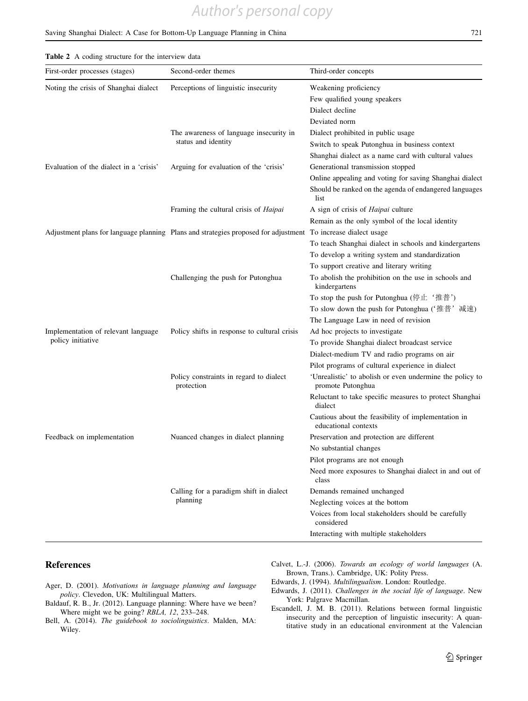#### <span id="page-10-0"></span>Saving Shanghai Dialect: A Case for Bottom-Up Language Planning in China 721

Table 2 A coding structure for the interview data

| First-order processes (stages)          | Second-order themes                                                                                           | Third-order concepts                                                          |
|-----------------------------------------|---------------------------------------------------------------------------------------------------------------|-------------------------------------------------------------------------------|
| Noting the crisis of Shanghai dialect   | Perceptions of linguistic insecurity                                                                          | Weakening proficiency                                                         |
|                                         |                                                                                                               | Few qualified young speakers                                                  |
|                                         |                                                                                                               | Dialect decline                                                               |
|                                         |                                                                                                               | Deviated norm                                                                 |
|                                         | The awareness of language insecurity in                                                                       | Dialect prohibited in public usage                                            |
|                                         | status and identity                                                                                           | Switch to speak Putonghua in business context                                 |
|                                         |                                                                                                               | Shanghai dialect as a name card with cultural values                          |
| Evaluation of the dialect in a 'crisis' | Arguing for evaluation of the 'crisis'                                                                        | Generational transmission stopped                                             |
|                                         |                                                                                                               | Online appealing and voting for saving Shanghai dialect                       |
|                                         |                                                                                                               | Should be ranked on the agenda of endangered languages<br>list                |
|                                         | Framing the cultural crisis of <i>Haipai</i>                                                                  | A sign of crisis of <i>Haipai</i> culture                                     |
|                                         |                                                                                                               | Remain as the only symbol of the local identity                               |
|                                         | Adjustment plans for language planning Plans and strategies proposed for adjustment To increase dialect usage |                                                                               |
|                                         |                                                                                                               | To teach Shanghai dialect in schools and kindergartens                        |
|                                         |                                                                                                               | To develop a writing system and standardization                               |
|                                         |                                                                                                               | To support creative and literary writing                                      |
|                                         | Challenging the push for Putonghua                                                                            | To abolish the prohibition on the use in schools and<br>kindergartens         |
|                                         |                                                                                                               | To stop the push for Putonghua (停止'推普')                                       |
|                                         |                                                                                                               | To slow down the push for Putonghua ('推普'减速)                                  |
|                                         |                                                                                                               | The Language Law in need of revision                                          |
| Implementation of relevant language     | Policy shifts in response to cultural crisis                                                                  | Ad hoc projects to investigate                                                |
| policy initiative                       |                                                                                                               | To provide Shanghai dialect broadcast service                                 |
|                                         |                                                                                                               | Dialect-medium TV and radio programs on air                                   |
|                                         |                                                                                                               | Pilot programs of cultural experience in dialect                              |
|                                         | Policy constraints in regard to dialect<br>protection                                                         | 'Unrealistic' to abolish or even undermine the policy to<br>promote Putonghua |
|                                         |                                                                                                               | Reluctant to take specific measures to protect Shanghai<br>dialect            |
|                                         |                                                                                                               | Cautious about the feasibility of implementation in<br>educational contexts   |
| Feedback on implementation              | Nuanced changes in dialect planning                                                                           | Preservation and protection are different                                     |
|                                         |                                                                                                               | No substantial changes                                                        |
|                                         |                                                                                                               | Pilot programs are not enough                                                 |
|                                         |                                                                                                               | Need more exposures to Shanghai dialect in and out of<br>class                |
|                                         | Calling for a paradigm shift in dialect                                                                       | Demands remained unchanged                                                    |
|                                         | planning                                                                                                      | Neglecting voices at the bottom                                               |
|                                         |                                                                                                               | Voices from local stakeholders should be carefully<br>considered              |
|                                         |                                                                                                               | Interacting with multiple stakeholders                                        |

#### References

- Ager, D. (2001). Motivations in language planning and language policy. Clevedon, UK: Multilingual Matters.
- Baldauf, R. B., Jr. (2012). Language planning: Where have we been? Where might we be going? RBLA, 12, 233–248.
- Bell, A. (2014). The guidebook to sociolinguistics. Malden, MA: Wiley.
- Calvet, L.-J. (2006). Towards an ecology of world languages (A. Brown, Trans.). Cambridge, UK: Polity Press.
- Edwards, J. (1994). Multilingualism. London: Routledge.
- Edwards, J. (2011). Challenges in the social life of language. New York: Palgrave Macmillan.
- Escandell, J. M. B. (2011). Relations between formal linguistic insecurity and the perception of linguistic insecurity: A quantitative study in an educational environment at the Valencian